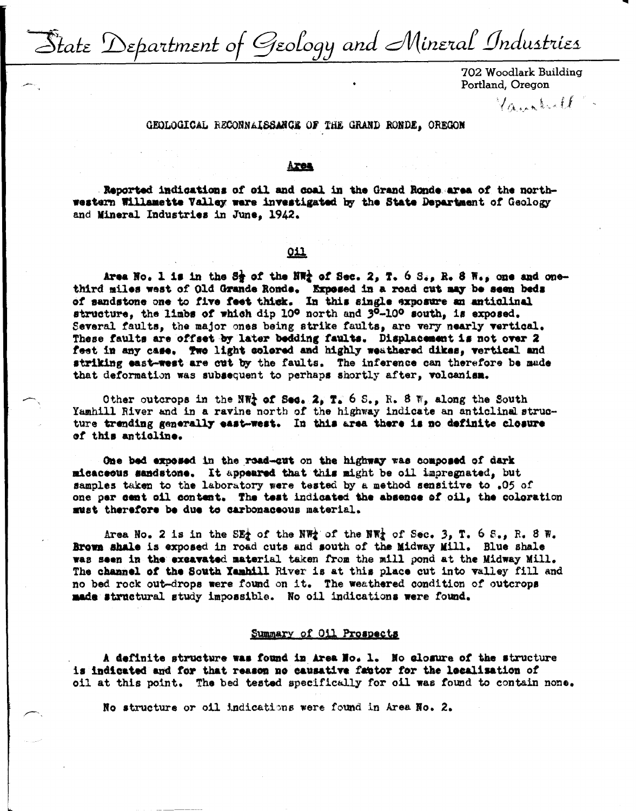State Department of Geology and Mineral Industries

702 Woodlark Building Portland, Oregon

Vanaboll.

## GEOLOGICAL RECONNAISSANCE OF THE GRAND RONDE, OREGON

#### Area

Reported indications of cil and coal in the Grand Ronde area of the northwestern Willamette Valley ware investigated by the State Department of Geology and Mineral Industries in June. 1942.

# 011

Area No. 1 is in the S<sub>2</sub> of the NW<sub>2</sub> of Sec. 2, T. 6 S., R. 8 W., one and onethird miles west of Old Grande Ronde. Exposed in a road cut may be seen beds of sandstone one to five feet thick. In this single exposure an anticlinal structure, the limbs of which dip 10° north and 3°-10° south, is exposed. Several faults, the major ones being strike faults, are very nearly vertical. These faults are offset by later bedding faults. Displacement is not over 2 feet in any case. Two light colored and highly weathered dikes, vertical and striking east-west are cut by the faults. The inference can therefore be mude that deformation was subsequent to perhaps shortly after, volcanism.

Other outcrops in the NW<sub>2</sub> of Sec. 2, T. 6 S., R. 8 W, along the South Yamhill River and in a ravine north of the highway indicate an anticlinal structure trending generally east-west. In this area there is no definite closure of this antioline.

One bed exposed in the road-cut on the highway was composed of dark micaceous sandstone. It appeared that this might be oil impregnated, but samples taken to the laboratory were tested by a method sensitive to .05 of one per cent oil content. The test indicated the absence of oil, the coloration must therefore be due to carbonaceous material.

Area No. 2 is in the SE<sub>2</sub> of the NW<sub>2</sub> of the NW<sub>2</sub> of Sec. 3, T. 6 S., R. 8 W. Brown shale is exposed in road cuts and south of the Midway Mill. Blue shale was seen in the excavated material taken from the mill pond at the Midway Mill. The channel of the South Yamhill River is at this place cut into valley fill and no bed rock out-drops were found on it. The weathered condition of outcrops made structural study impossible. No oil indications were found.

## Summary of Oil Prospects

A definite structure was found in Area Ho. 1. No closure of the structure is indicated and for that reason no causative factor for the localisation of oil at this point. The bed tested specifically for oil was found to contain none.

No structure or oil indications were found in Area No. 2.